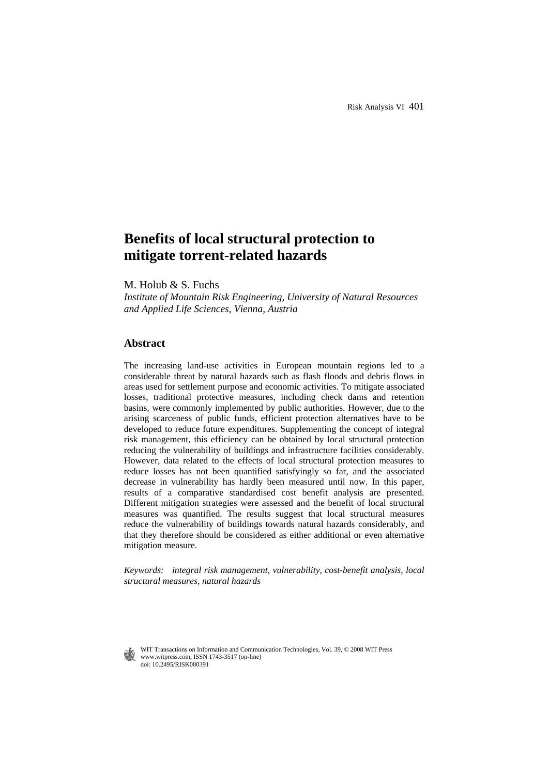# **Benefits of local structural protection to mitigate torrent-related hazards**

M. Holub & S. Fuchs

*Institute of Mountain Risk Engineering, University of Natural Resources and Applied Life Sciences, Vienna, Austria* 

# **Abstract**

The increasing land-use activities in European mountain regions led to a considerable threat by natural hazards such as flash floods and debris flows in areas used for settlement purpose and economic activities. To mitigate associated losses, traditional protective measures, including check dams and retention basins, were commonly implemented by public authorities. However, due to the arising scarceness of public funds, efficient protection alternatives have to be developed to reduce future expenditures. Supplementing the concept of integral risk management, this efficiency can be obtained by local structural protection reducing the vulnerability of buildings and infrastructure facilities considerably. However, data related to the effects of local structural protection measures to reduce losses has not been quantified satisfyingly so far, and the associated decrease in vulnerability has hardly been measured until now. In this paper, results of a comparative standardised cost benefit analysis are presented. Different mitigation strategies were assessed and the benefit of local structural measures was quantified. The results suggest that local structural measures reduce the vulnerability of buildings towards natural hazards considerably, and that they therefore should be considered as either additional or even alternative mitigation measure.

*Keywords: integral risk management, vulnerability, cost-benefit analysis, local structural measures, natural hazards* 

 WIT Transactions on Information and Communication Technologies, Vol. 39, © 2008 WIT Press www.witpress.com, ISSN 1743-3517 (on-line) doi: 10.2495/RISK080391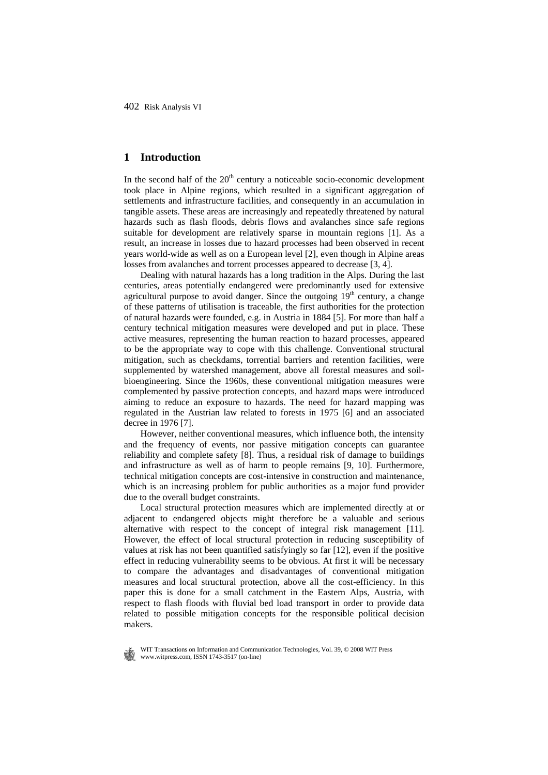# **1 Introduction**

In the second half of the  $20<sup>th</sup>$  century a noticeable socio-economic development took place in Alpine regions, which resulted in a significant aggregation of settlements and infrastructure facilities, and consequently in an accumulation in tangible assets. These areas are increasingly and repeatedly threatened by natural hazards such as flash floods, debris flows and avalanches since safe regions suitable for development are relatively sparse in mountain regions [1]. As a result, an increase in losses due to hazard processes had been observed in recent years world-wide as well as on a European level [2], even though in Alpine areas losses from avalanches and torrent processes appeared to decrease [3, 4].

Dealing with natural hazards has a long tradition in the Alps. During the last centuries, areas potentially endangered were predominantly used for extensive agricultural purpose to avoid danger. Since the outgoing 19<sup>th</sup> century, a change of these patterns of utilisation is traceable, the first authorities for the protection of natural hazards were founded, e.g. in Austria in 1884 [5]. For more than half a century technical mitigation measures were developed and put in place. These active measures, representing the human reaction to hazard processes, appeared to be the appropriate way to cope with this challenge. Conventional structural mitigation, such as checkdams, torrential barriers and retention facilities, were supplemented by watershed management, above all forestal measures and soilbioengineering. Since the 1960s, these conventional mitigation measures were complemented by passive protection concepts, and hazard maps were introduced aiming to reduce an exposure to hazards. The need for hazard mapping was regulated in the Austrian law related to forests in 1975 [6] and an associated decree in 1976 [7].

However, neither conventional measures, which influence both, the intensity and the frequency of events, nor passive mitigation concepts can guarantee reliability and complete safety [8]. Thus, a residual risk of damage to buildings and infrastructure as well as of harm to people remains [9, 10]. Furthermore, technical mitigation concepts are cost-intensive in construction and maintenance, which is an increasing problem for public authorities as a major fund provider due to the overall budget constraints.

Local structural protection measures which are implemented directly at or adjacent to endangered objects might therefore be a valuable and serious alternative with respect to the concept of integral risk management [11]. However, the effect of local structural protection in reducing susceptibility of values at risk has not been quantified satisfyingly so far [12], even if the positive effect in reducing vulnerability seems to be obvious. At first it will be necessary to compare the advantages and disadvantages of conventional mitigation measures and local structural protection, above all the cost-efficiency. In this paper this is done for a small catchment in the Eastern Alps, Austria, with respect to flash floods with fluvial bed load transport in order to provide data related to possible mitigation concepts for the responsible political decision makers.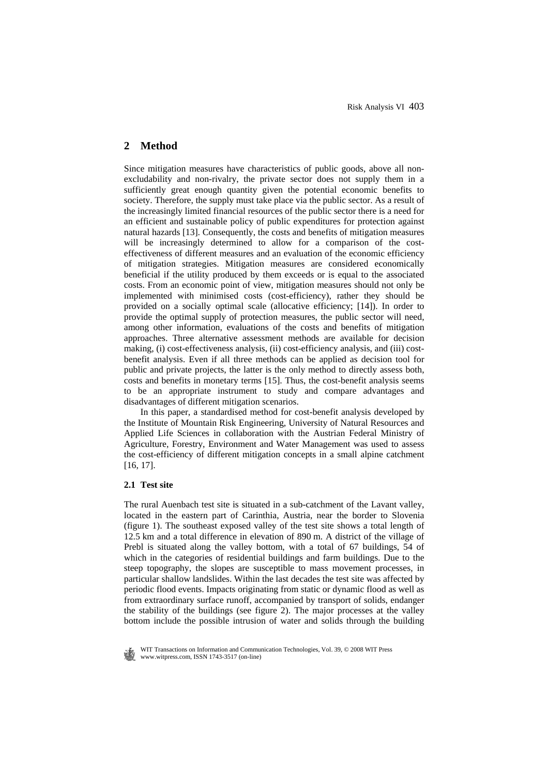# **2 Method**

Since mitigation measures have characteristics of public goods, above all nonexcludability and non-rivalry, the private sector does not supply them in a sufficiently great enough quantity given the potential economic benefits to society. Therefore, the supply must take place via the public sector. As a result of the increasingly limited financial resources of the public sector there is a need for an efficient and sustainable policy of public expenditures for protection against natural hazards [13]. Consequently, the costs and benefits of mitigation measures will be increasingly determined to allow for a comparison of the costeffectiveness of different measures and an evaluation of the economic efficiency of mitigation strategies. Mitigation measures are considered economically beneficial if the utility produced by them exceeds or is equal to the associated costs. From an economic point of view, mitigation measures should not only be implemented with minimised costs (cost-efficiency), rather they should be provided on a socially optimal scale (allocative efficiency; [14]). In order to provide the optimal supply of protection measures, the public sector will need, among other information, evaluations of the costs and benefits of mitigation approaches. Three alternative assessment methods are available for decision making, (i) cost-effectiveness analysis, (ii) cost-efficiency analysis, and (iii) costbenefit analysis. Even if all three methods can be applied as decision tool for public and private projects, the latter is the only method to directly assess both, costs and benefits in monetary terms [15]. Thus, the cost-benefit analysis seems to be an appropriate instrument to study and compare advantages and disadvantages of different mitigation scenarios.

In this paper, a standardised method for cost-benefit analysis developed by the Institute of Mountain Risk Engineering, University of Natural Resources and Applied Life Sciences in collaboration with the Austrian Federal Ministry of Agriculture, Forestry, Environment and Water Management was used to assess the cost-efficiency of different mitigation concepts in a small alpine catchment [16, 17].

## **2.1 Test site**

The rural Auenbach test site is situated in a sub-catchment of the Lavant valley, located in the eastern part of Carinthia, Austria, near the border to Slovenia (figure 1). The southeast exposed valley of the test site shows a total length of 12.5 km and a total difference in elevation of 890 m. A district of the village of Prebl is situated along the valley bottom, with a total of 67 buildings, 54 of which in the categories of residential buildings and farm buildings. Due to the steep topography, the slopes are susceptible to mass movement processes, in particular shallow landslides. Within the last decades the test site was affected by periodic flood events. Impacts originating from static or dynamic flood as well as from extraordinary surface runoff, accompanied by transport of solids, endanger the stability of the buildings (see figure 2). The major processes at the valley bottom include the possible intrusion of water and solids through the building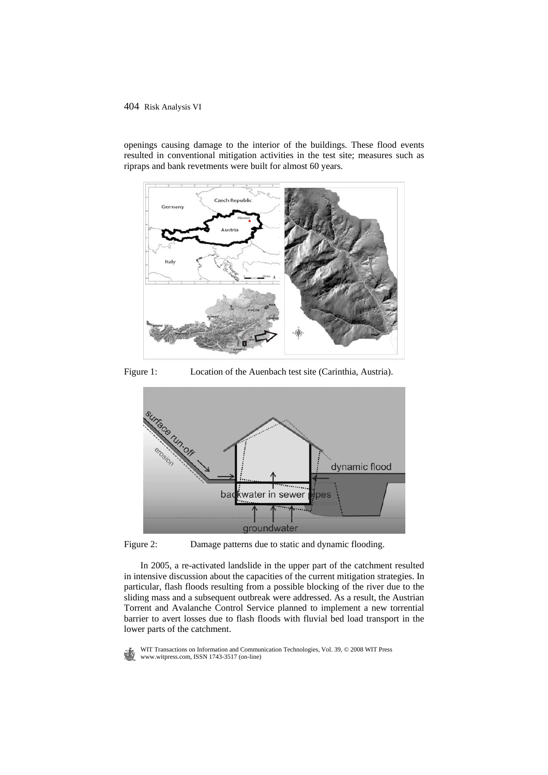

openings causing damage to the interior of the buildings. These flood events resulted in conventional mitigation activities in the test site; measures such as ripraps and bank revetments were built for almost 60 years.

Figure 1: Location of the Auenbach test site (Carinthia, Austria).



Figure 2: Damage patterns due to static and dynamic flooding.

In 2005, a re-activated landslide in the upper part of the catchment resulted in intensive discussion about the capacities of the current mitigation strategies. In particular, flash floods resulting from a possible blocking of the river due to the sliding mass and a subsequent outbreak were addressed. As a result, the Austrian Torrent and Avalanche Control Service planned to implement a new torrential barrier to avert losses due to flash floods with fluvial bed load transport in the lower parts of the catchment.

WIT Transactions on Information and Communication Technologies, Vol. 39,  $\odot$  2008 WIT Press www.witpress.com, ISSN 1743-3517 (on-line)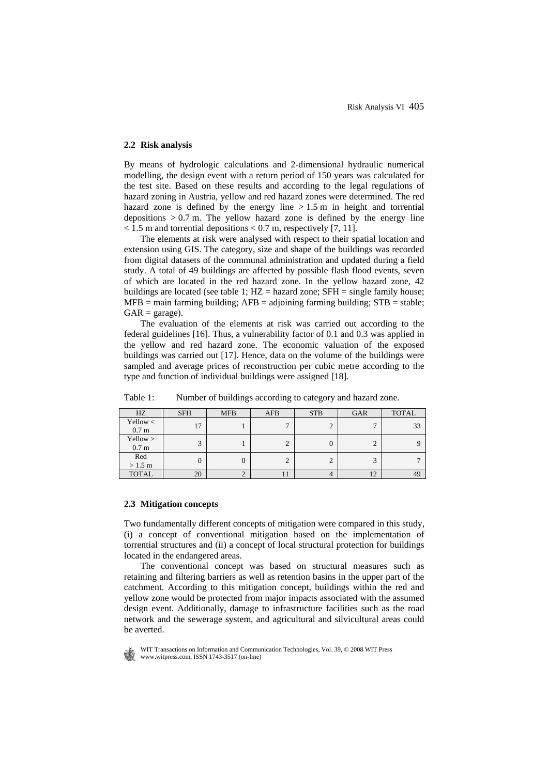# **2.2 Risk analysis**

By means of hydrologic calculations and 2-dimensional hydraulic numerical modelling, the design event with a return period of 150 years was calculated for the test site. Based on these results and according to the legal regulations of hazard zoning in Austria, yellow and red hazard zones were determined. The red hazard zone is defined by the energy line  $> 1.5$  m in height and torrential depositions  $> 0.7$  m. The yellow hazard zone is defined by the energy line  $<$  1.5 m and torrential depositions  $<$  0.7 m, respectively [7, 11].

The elements at risk were analysed with respect to their spatial location and extension using GIS. The category, size and shape of the buildings was recorded from digital datasets of the communal administration and updated during a field study. A total of 49 buildings are affected by possible flash flood events, seven of which are located in the red hazard zone. In the yellow hazard zone, 42 buildings are located (see table 1;  $HZ =$  hazard zone;  $SFH =$  single family house;  $MFB = \text{main farming building}; AFB = \text{adjointing farming building}; STB = \text{stable};$  $GAR = \text{garage}$ ).

The evaluation of the elements at risk was carried out according to the federal guidelines [16]. Thus, a vulnerability factor of 0.1 and 0.3 was applied in the yellow and red hazard zone. The economic valuation of the exposed buildings was carried out [17]. Hence, data on the volume of the buildings were sampled and average prices of reconstruction per cubic metre according to the type and function of individual buildings were assigned [18].

| HZ                             | <b>SFH</b>   | <b>MFB</b> | <b>AFB</b> | <b>STB</b> | <b>GAR</b> | <b>TOTAL</b> |
|--------------------------------|--------------|------------|------------|------------|------------|--------------|
| Yellow $<$<br>0.7 <sub>m</sub> | 17           |            |            |            |            | 33           |
| Yellow ><br>0.7 <sub>m</sub>   | $\mathbf{a}$ |            | ◠          | 0          | ↑<br>∠     |              |
| Red<br>$>1.5 \text{ m}$        | 0            | 0          |            | 2          | 3          |              |
| <b>TOTAL</b>                   | 20           | ↩          | 11         | 4          | 12         | 49           |

Table 1: Number of buildings according to category and hazard zone.

#### **2.3 Mitigation concepts**

Two fundamentally different concepts of mitigation were compared in this study, (i) a concept of conventional mitigation based on the implementation of torrential structures and (ii) a concept of local structural protection for buildings located in the endangered areas.

The conventional concept was based on structural measures such as retaining and filtering barriers as well as retention basins in the upper part of the catchment. According to this mitigation concept, buildings within the red and yellow zone would be protected from major impacts associated with the assumed design event. Additionally, damage to infrastructure facilities such as the road network and the sewerage system, and agricultural and silvicultural areas could be averted.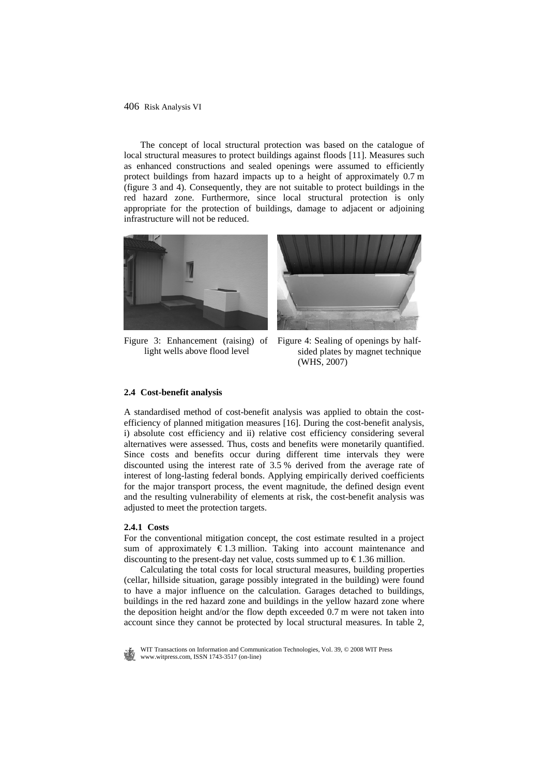The concept of local structural protection was based on the catalogue of local structural measures to protect buildings against floods [11]. Measures such as enhanced constructions and sealed openings were assumed to efficiently protect buildings from hazard impacts up to a height of approximately 0.7 m (figure 3 and 4). Consequently, they are not suitable to protect buildings in the red hazard zone. Furthermore, since local structural protection is only appropriate for the protection of buildings, damage to adjacent or adjoining infrastructure will not be reduced.



Figure 3: Enhancement (raising) of Figure 4: Sealing of openings by halflight wells above flood level



sided plates by magnet technique (WHS, 2007)

#### **2.4 Cost-benefit analysis**

A standardised method of cost-benefit analysis was applied to obtain the costefficiency of planned mitigation measures [16]. During the cost-benefit analysis, i) absolute cost efficiency and ii) relative cost efficiency considering several alternatives were assessed. Thus, costs and benefits were monetarily quantified. Since costs and benefits occur during different time intervals they were discounted using the interest rate of 3.5 % derived from the average rate of interest of long-lasting federal bonds. Applying empirically derived coefficients for the major transport process, the event magnitude, the defined design event and the resulting vulnerability of elements at risk, the cost-benefit analysis was adjusted to meet the protection targets.

#### **2.4.1 Costs**

For the conventional mitigation concept, the cost estimate resulted in a project sum of approximately  $\epsilon$ 1.3 million. Taking into account maintenance and discounting to the present-day net value, costs summed up to  $\epsilon$ 1.36 million.

Calculating the total costs for local structural measures, building properties (cellar, hillside situation, garage possibly integrated in the building) were found to have a major influence on the calculation. Garages detached to buildings, buildings in the red hazard zone and buildings in the yellow hazard zone where the deposition height and/or the flow depth exceeded 0.7 m were not taken into account since they cannot be protected by local structural measures. In table 2,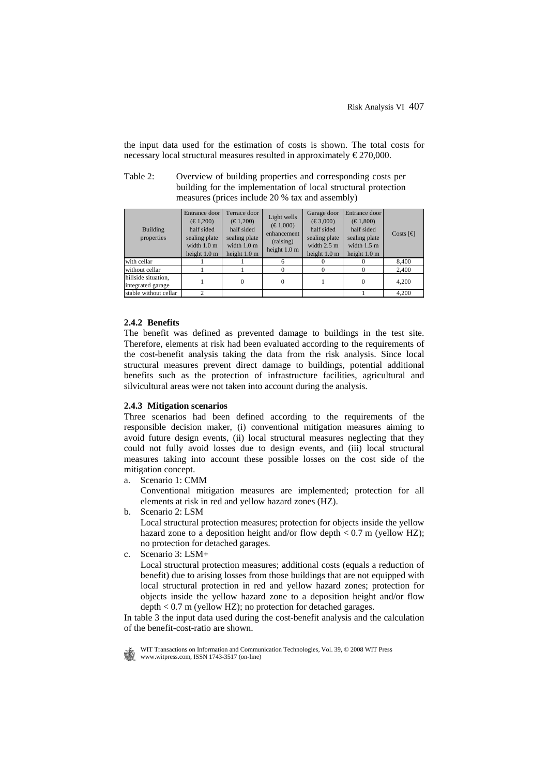the input data used for the estimation of costs is shown. The total costs for necessary local structural measures resulted in approximately  $\epsilon$ 270,000.

| Table 2: | Overview of building properties and corresponding costs per                                                       |
|----------|-------------------------------------------------------------------------------------------------------------------|
|          | building for the implementation of local structural protection<br>measures (prices include 20 % tax and assembly) |

| Building<br>properties                   | Entrance door<br>$(\text{\textsterling}1,200)$<br>half sided<br>sealing plate<br>width $1.0 \text{ m}$<br>height $1.0 \text{ m}$ | Terrace door<br>$(\text{\textsterling}1,200)$<br>half sided<br>sealing plate<br>width $1.0 \text{ m}$<br>height $1.0 \text{ m}$ | Light wells<br>$(\text{\textsterling}1,000)$<br>enhancement<br>(raising)<br>height 1.0 m | Garage door<br>$(\text{\textsterling}3,000)$<br>half sided<br>sealing plate<br>width $2.5 \text{ m}$<br>height $1.0 \text{ m}$ | Entrance door<br>$(\text{\textsterling}1,800)$<br>half sided<br>sealing plate<br>width $1.5 \text{ m}$<br>height $1.0 \text{ m}$ | Costs $\lceil \in \mathbb{R} \rceil$ |
|------------------------------------------|----------------------------------------------------------------------------------------------------------------------------------|---------------------------------------------------------------------------------------------------------------------------------|------------------------------------------------------------------------------------------|--------------------------------------------------------------------------------------------------------------------------------|----------------------------------------------------------------------------------------------------------------------------------|--------------------------------------|
| with cellar                              |                                                                                                                                  |                                                                                                                                 | 6                                                                                        |                                                                                                                                |                                                                                                                                  | 8,400                                |
| without cellar                           |                                                                                                                                  |                                                                                                                                 |                                                                                          |                                                                                                                                |                                                                                                                                  | 2,400                                |
| hillside situation,<br>integrated garage |                                                                                                                                  | $^{(1)}$                                                                                                                        | $\Omega$                                                                                 |                                                                                                                                | 0                                                                                                                                | 4,200                                |
| stable without cellar                    | ◠                                                                                                                                |                                                                                                                                 |                                                                                          |                                                                                                                                |                                                                                                                                  | 4.200                                |

#### **2.4.2 Benefits**

The benefit was defined as prevented damage to buildings in the test site. Therefore, elements at risk had been evaluated according to the requirements of the cost-benefit analysis taking the data from the risk analysis. Since local structural measures prevent direct damage to buildings, potential additional benefits such as the protection of infrastructure facilities, agricultural and silvicultural areas were not taken into account during the analysis.

#### **2.4.3 Mitigation scenarios**

Three scenarios had been defined according to the requirements of the responsible decision maker, (i) conventional mitigation measures aiming to avoid future design events, (ii) local structural measures neglecting that they could not fully avoid losses due to design events, and (iii) local structural measures taking into account these possible losses on the cost side of the mitigation concept.

a. Scenario 1: CMM

Conventional mitigation measures are implemented; protection for all elements at risk in red and yellow hazard zones (HZ).

b. Scenario 2: LSM

Local structural protection measures; protection for objects inside the yellow hazard zone to a deposition height and/or flow depth  $< 0.7$  m (yellow HZ); no protection for detached garages.

c. Scenario 3: LSM+

Local structural protection measures; additional costs (equals a reduction of benefit) due to arising losses from those buildings that are not equipped with local structural protection in red and yellow hazard zones; protection for objects inside the yellow hazard zone to a deposition height and/or flow  $depth < 0.7$  m (yellow HZ); no protection for detached garages.

In table 3 the input data used during the cost-benefit analysis and the calculation of the benefit-cost-ratio are shown.

WIT Transactions on Information and Communication Technologies, Vol. 39,  $\odot$  2008 WIT Press www.witpress.com, ISSN 1743-3517 (on-line)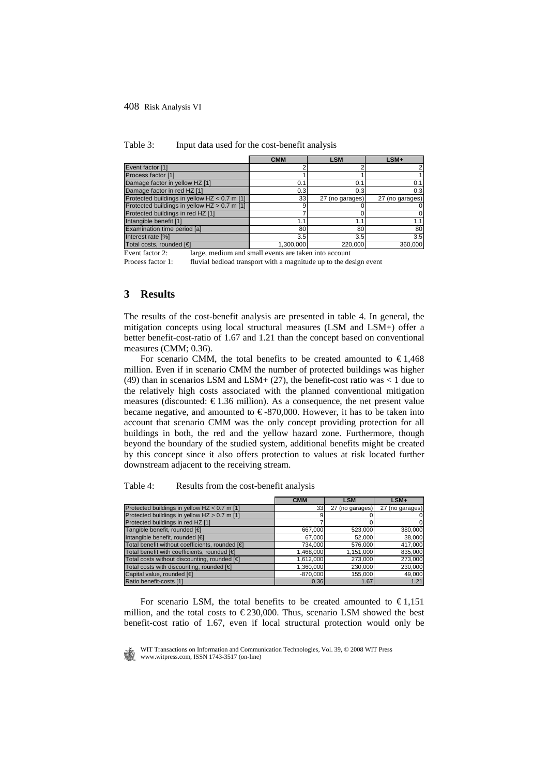|                                              | <b>CMM</b> | <b>LSM</b>      | $LSM+$           |
|----------------------------------------------|------------|-----------------|------------------|
| Event factor [1]                             |            |                 |                  |
| Process factor [1]                           |            |                 |                  |
| Damage factor in yellow HZ [1]               | 0.1        | 0.1             | 0.1              |
| Damage factor in red HZ [1]                  | 0.3        | 0.3             | 0.3 <sub>l</sub> |
| Protected buildings in yellow HZ < 0.7 m [1] | 33         | 27 (no garages) | 27 (no garages)  |
| Protected buildings in yellow HZ > 0.7 m [1] |            |                 |                  |
| Protected buildings in red HZ [1]            |            |                 |                  |
| Intangible benefit [1]                       | 1.1        | 1.              |                  |
| Examination time period [a]                  | 80         | 80              | 80               |
| Interest rate [%]                            | 3.5        | 3.5             | 3.5              |
| Total costs, rounded [€]                     | 1.300.000  | 220.000         | 360,000          |

Table 3: Input data used for the cost-benefit analysis

Event factor 2: large, medium and small events are taken into account

Process factor 1: fluvial bedload transport with a magnitude up to the design event

# **3 Results**

The results of the cost-benefit analysis are presented in table 4. In general, the mitigation concepts using local structural measures (LSM and LSM+) offer a better benefit-cost-ratio of 1.67 and 1.21 than the concept based on conventional measures (CMM; 0.36).

For scenario CMM, the total benefits to be created amounted to  $\epsilon$ 1.468 million. Even if in scenario CMM the number of protected buildings was higher (49) than in scenarios LSM and LSM+  $(27)$ , the benefit-cost ratio was < 1 due to the relatively high costs associated with the planned conventional mitigation measures (discounted:  $\epsilon$ 1.36 million). As a consequence, the net present value became negative, and amounted to  $\epsilon$ -870,000. However, it has to be taken into account that scenario CMM was the only concept providing protection for all buildings in both, the red and the yellow hazard zone. Furthermore, though beyond the boundary of the studied system, additional benefits might be created by this concept since it also offers protection to values at risk located further downstream adjacent to the receiving stream.

Table 4: Results from the cost-benefit analysis

|                                                 | <b>CMM</b>      | <b>LSM</b>      | $LSM+$          |
|-------------------------------------------------|-----------------|-----------------|-----------------|
| Protected buildings in yellow HZ < 0.7 m [1]    | 33 <sub>1</sub> | 27 (no garages) | 27 (no garages) |
| Protected buildings in yellow HZ > 0.7 m [1]    |                 |                 | 0               |
| Protected buildings in red HZ [1]               |                 |                 | 0               |
| Tangible benefit, rounded [€]                   | 667,000         | 523,000         | 380,000         |
| Intangible benefit, rounded [€]                 | 67,000          | 52,000          | 38,000          |
| Total benefit without coefficients, rounded [€] | 734,000         | 576,000         | 417,000         |
| Total benefit with coefficients, rounded [€]    | 1,468,000       | 1,151,000       | 835,000         |
| Total costs without discounting, rounded [€]    | 1,612,000       | 273,000         | 273,000         |
| Total costs with discounting, rounded [€]       | 1.360.000       | 230,000         | 230,000         |
| Capital value, rounded [€                       | $-870,000$      | 155,000         | 49,000          |
| Ratio benefit-costs [1]                         | 0.36            | 1.67            | 1.21            |

For scenario LSM, the total benefits to be created amounted to  $\epsilon$ 1.151 million, and the total costs to  $\epsilon$ 230,000. Thus, scenario LSM showed the best benefit-cost ratio of 1.67, even if local structural protection would only be

 WIT Transactions on Information and Communication Technologies, Vol. 39, © 2008 WIT Press www.witpress.com, ISSN 1743-3517 (on-line)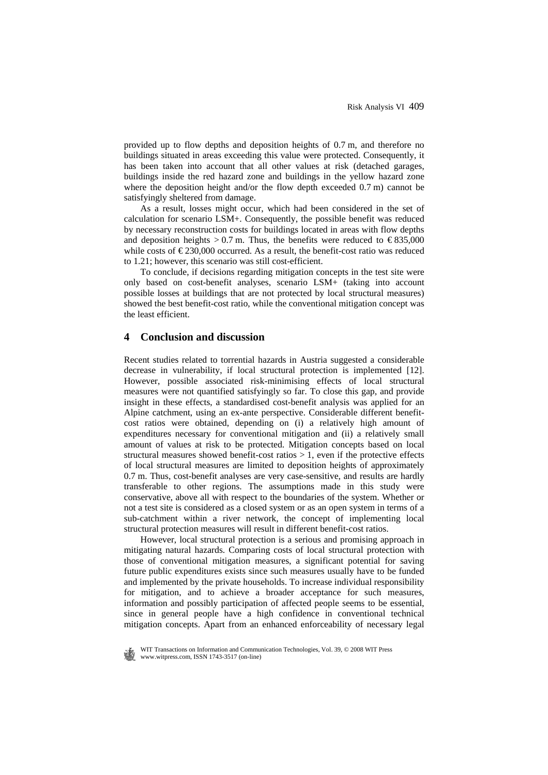provided up to flow depths and deposition heights of 0.7 m, and therefore no buildings situated in areas exceeding this value were protected. Consequently, it has been taken into account that all other values at risk (detached garages, buildings inside the red hazard zone and buildings in the yellow hazard zone where the deposition height and/or the flow depth exceeded 0.7 m) cannot be satisfyingly sheltered from damage.

As a result, losses might occur, which had been considered in the set of calculation for scenario LSM+. Consequently, the possible benefit was reduced by necessary reconstruction costs for buildings located in areas with flow depths and deposition heights > 0.7 m. Thus, the benefits were reduced to  $\epsilon$ 835,000 while costs of  $\epsilon$  230,000 occurred. As a result, the benefit-cost ratio was reduced to 1.21; however, this scenario was still cost-efficient.

To conclude, if decisions regarding mitigation concepts in the test site were only based on cost-benefit analyses, scenario LSM+ (taking into account possible losses at buildings that are not protected by local structural measures) showed the best benefit-cost ratio, while the conventional mitigation concept was the least efficient.

# **4 Conclusion and discussion**

Recent studies related to torrential hazards in Austria suggested a considerable decrease in vulnerability, if local structural protection is implemented [12]. However, possible associated risk-minimising effects of local structural measures were not quantified satisfyingly so far. To close this gap, and provide insight in these effects, a standardised cost-benefit analysis was applied for an Alpine catchment, using an ex-ante perspective. Considerable different benefitcost ratios were obtained, depending on (i) a relatively high amount of expenditures necessary for conventional mitigation and (ii) a relatively small amount of values at risk to be protected. Mitigation concepts based on local structural measures showed benefit-cost ratios  $> 1$ , even if the protective effects of local structural measures are limited to deposition heights of approximately 0.7 m. Thus, cost-benefit analyses are very case-sensitive, and results are hardly transferable to other regions. The assumptions made in this study were conservative, above all with respect to the boundaries of the system. Whether or not a test site is considered as a closed system or as an open system in terms of a sub-catchment within a river network, the concept of implementing local structural protection measures will result in different benefit-cost ratios.

However, local structural protection is a serious and promising approach in mitigating natural hazards. Comparing costs of local structural protection with those of conventional mitigation measures, a significant potential for saving future public expenditures exists since such measures usually have to be funded and implemented by the private households. To increase individual responsibility for mitigation, and to achieve a broader acceptance for such measures, information and possibly participation of affected people seems to be essential, since in general people have a high confidence in conventional technical mitigation concepts. Apart from an enhanced enforceability of necessary legal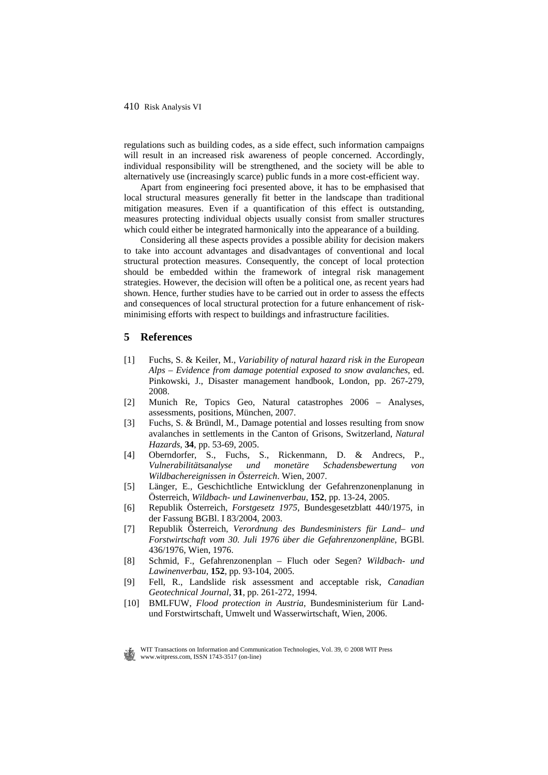regulations such as building codes, as a side effect, such information campaigns will result in an increased risk awareness of people concerned. Accordingly, individual responsibility will be strengthened, and the society will be able to alternatively use (increasingly scarce) public funds in a more cost-efficient way.

Apart from engineering foci presented above, it has to be emphasised that local structural measures generally fit better in the landscape than traditional mitigation measures. Even if a quantification of this effect is outstanding, measures protecting individual objects usually consist from smaller structures which could either be integrated harmonically into the appearance of a building.

Considering all these aspects provides a possible ability for decision makers to take into account advantages and disadvantages of conventional and local structural protection measures. Consequently, the concept of local protection should be embedded within the framework of integral risk management strategies. However, the decision will often be a political one, as recent years had shown. Hence, further studies have to be carried out in order to assess the effects and consequences of local structural protection for a future enhancement of riskminimising efforts with respect to buildings and infrastructure facilities.

# **5 References**

- [1] Fuchs, S. & Keiler, M., *Variability of natural hazard risk in the European Alps – Evidence from damage potential exposed to snow avalanches*, ed. Pinkowski, J., Disaster management handbook, London, pp. 267-279, 2008.
- [2] Munich Re, Topics Geo, Natural catastrophes 2006 Analyses, assessments, positions, München, 2007.
- [3] Fuchs, S. & Bründl, M., Damage potential and losses resulting from snow avalanches in settlements in the Canton of Grisons, Switzerland, *Natural Hazards*, **34**, pp. 53-69, 2005.
- [4] Oberndorfer, S., Fuchs, S., Rickenmann, D. & Andrecs, P., *Vulnerabilitätsanalyse und monetäre Schadensbewertung von Wildbachereignissen in Österreich*. Wien, 2007.
- [5] Länger, E., Geschichtliche Entwicklung der Gefahrenzonenplanung in Österreich, *Wildbach- und Lawinenverbau*, **152**, pp. 13-24, 2005.
- [6] Republik Österreich, *Forstgesetz 1975*, Bundesgesetzblatt 440/1975, in der Fassung BGBl. I 83/2004, 2003.
- [7] Republik Österreich, *Verordnung des Bundesministers für Land– und Forstwirtschaft vom 30. Juli 1976 über die Gefahrenzonenpläne*, BGBl. 436/1976, Wien, 1976.
- [8] Schmid, F., Gefahrenzonenplan Fluch oder Segen? *Wildbach- und Lawinenverbau*, **152**, pp. 93-104, 2005.
- [9] Fell, R., Landslide risk assessment and acceptable risk, *Canadian Geotechnical Journal*, **31**, pp. 261-272, 1994.
- [10] BMLFUW, *Flood protection in Austria*, Bundesministerium für Landund Forstwirtschaft, Umwelt und Wasserwirtschaft, Wien, 2006.

WIT Transactions on Information and Communication Technologies, Vol. 39, © 2008 WIT Press www.witpress.com, ISSN 1743-3517 (on-line)